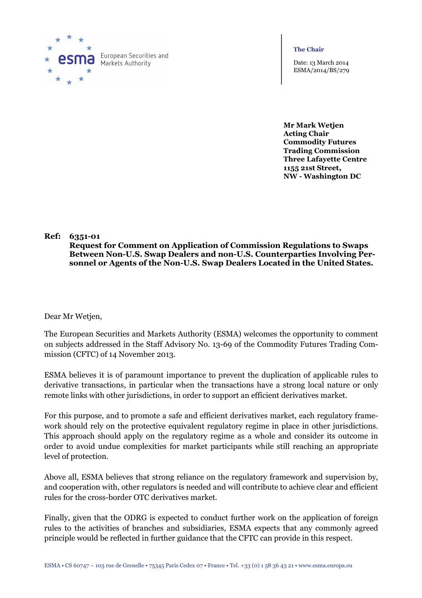

European Securities and Markets Authority

**The Chair**

Date: 13 March 2014 ESMA/2014/BS/279

**Mr Mark Wetjen Acting Chair Commodity Futures Trading Commission Three Lafayette Centre 1155 21st Street, NW - Washington DC** 

# **Ref: 6351-01**

**Request for Comment on Application of Commission Regulations to Swaps Between Non-U.S. Swap Dealers and non-U.S. Counterparties Involving Personnel or Agents of the Non-U.S. Swap Dealers Located in the United States.**

Dear Mr Wetjen,

The European Securities and Markets Authority (ESMA) welcomes the opportunity to comment on subjects addressed in the Staff Advisory No. 13-69 of the Commodity Futures Trading Commission (CFTC) of 14 November 2013.

ESMA believes it is of paramount importance to prevent the duplication of applicable rules to derivative transactions, in particular when the transactions have a strong local nature or only remote links with other jurisdictions, in order to support an efficient derivatives market.

For this purpose, and to promote a safe and efficient derivatives market, each regulatory framework should rely on the protective equivalent regulatory regime in place in other jurisdictions. This approach should apply on the regulatory regime as a whole and consider its outcome in order to avoid undue complexities for market participants while still reaching an appropriate level of protection.

Above all, ESMA believes that strong reliance on the regulatory framework and supervision by, and cooperation with, other regulators is needed and will contribute to achieve clear and efficient rules for the cross-border OTC derivatives market.

Finally, given that the ODRG is expected to conduct further work on the application of foreign rules to the activities of branches and subsidiaries, ESMA expects that any commonly agreed principle would be reflected in further guidance that the CFTC can provide in this respect.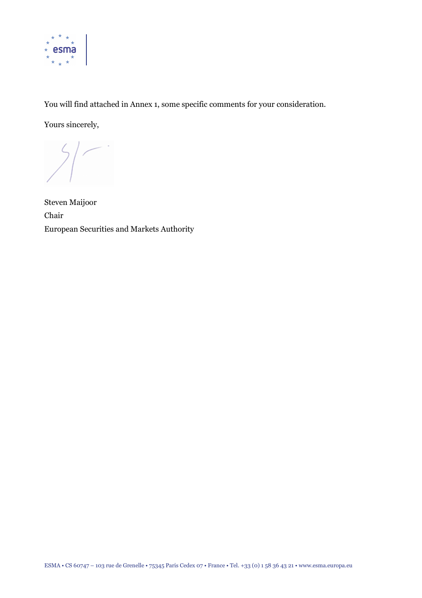

You will find attached in Annex 1, some specific comments for your consideration.

Yours sincerely,

Steven Maijoor Chair European Securities and Markets Authority